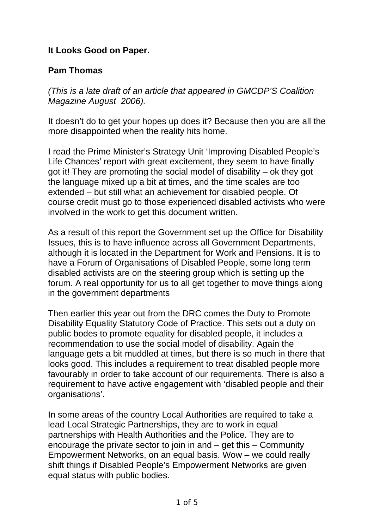## **It Looks Good on Paper.**

## **Pam Thomas**

*(This is a late draft of an article that appeared in GMCDP'S Coalition Magazine August 2006).*

It doesn't do to get your hopes up does it? Because then you are all the more disappointed when the reality hits home.

I read the Prime Minister's Strategy Unit 'Improving Disabled People's Life Chances' report with great excitement, they seem to have finally got it! They are promoting the social model of disability – ok they got the language mixed up a bit at times, and the time scales are too extended – but still what an achievement for disabled people. Of course credit must go to those experienced disabled activists who were involved in the work to get this document written.

As a result of this report the Government set up the Office for Disability Issues, this is to have influence across all Government Departments, although it is located in the Department for Work and Pensions. It is to have a Forum of Organisations of Disabled People, some long term disabled activists are on the steering group which is setting up the forum. A real opportunity for us to all get together to move things along in the government departments

Then earlier this year out from the DRC comes the Duty to Promote Disability Equality Statutory Code of Practice. This sets out a duty on public bodes to promote equality for disabled people, it includes a recommendation to use the social model of disability. Again the language gets a bit muddled at times, but there is so much in there that looks good. This includes a requirement to treat disabled people more favourably in order to take account of our requirements. There is also a requirement to have active engagement with 'disabled people and their organisations'.

In some areas of the country Local Authorities are required to take a lead Local Strategic Partnerships, they are to work in equal partnerships with Health Authorities and the Police. They are to encourage the private sector to join in and – get this – Community Empowerment Networks, on an equal basis. Wow – we could really shift things if Disabled People's Empowerment Networks are given equal status with public bodies.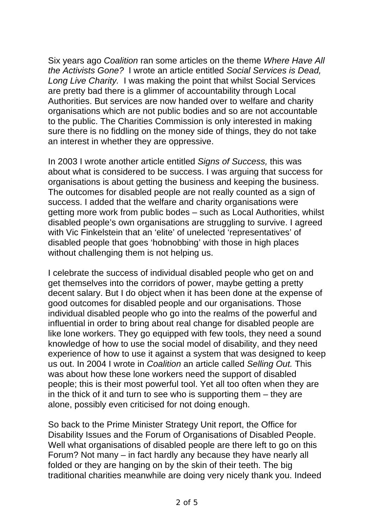Six years ago *Coalition* ran some articles on the theme *Where Have All the Activists Gone?* I wrote an article entitled *Social Services is Dead, Long Live Charity.* I was making the point that whilst Social Services are pretty bad there is a glimmer of accountability through Local Authorities. But services are now handed over to welfare and charity organisations which are not public bodies and so are not accountable to the public. The Charities Commission is only interested in making sure there is no fiddling on the money side of things, they do not take an interest in whether they are oppressive.

In 2003 I wrote another article entitled *Signs of Success,* this was about what is considered to be success. I was arguing that success for organisations is about getting the business and keeping the business. The outcomes for disabled people are not really counted as a sign of success. I added that the welfare and charity organisations were getting more work from public bodes – such as Local Authorities, whilst disabled people's own organisations are struggling to survive. I agreed with Vic Finkelstein that an 'elite' of unelected 'representatives' of disabled people that goes 'hobnobbing' with those in high places without challenging them is not helping us.

I celebrate the success of individual disabled people who get on and get themselves into the corridors of power, maybe getting a pretty decent salary. But I do object when it has been done at the expense of good outcomes for disabled people and our organisations. Those individual disabled people who go into the realms of the powerful and influential in order to bring about real change for disabled people are like lone workers. They go equipped with few tools, they need a sound knowledge of how to use the social model of disability, and they need experience of how to use it against a system that was designed to keep us out. In 2004 I wrote in *Coalition* an article called *Selling Out.* This was about how these lone workers need the support of disabled people; this is their most powerful tool. Yet all too often when they are in the thick of it and turn to see who is supporting them – they are alone, possibly even criticised for not doing enough.

So back to the Prime Minister Strategy Unit report, the Office for Disability Issues and the Forum of Organisations of Disabled People. Well what organisations of disabled people are there left to go on this Forum? Not many – in fact hardly any because they have nearly all folded or they are hanging on by the skin of their teeth. The big traditional charities meanwhile are doing very nicely thank you. Indeed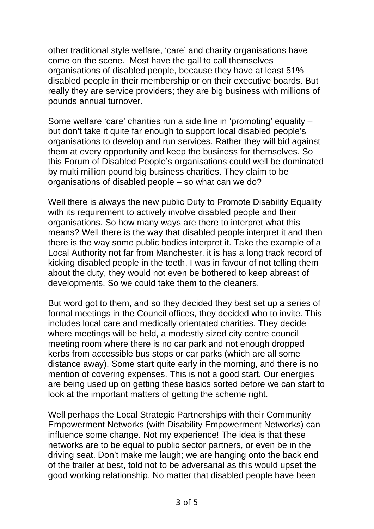other traditional style welfare, 'care' and charity organisations have come on the scene. Most have the gall to call themselves organisations of disabled people, because they have at least 51% disabled people in their membership or on their executive boards. But really they are service providers; they are big business with millions of pounds annual turnover.

Some welfare 'care' charities run a side line in 'promoting' equality – but don't take it quite far enough to support local disabled people's organisations to develop and run services. Rather they will bid against them at every opportunity and keep the business for themselves. So this Forum of Disabled People's organisations could well be dominated by multi million pound big business charities. They claim to be organisations of disabled people – so what can we do?

Well there is always the new public Duty to Promote Disability Equality with its requirement to actively involve disabled people and their organisations. So how many ways are there to interpret what this means? Well there is the way that disabled people interpret it and then there is the way some public bodies interpret it. Take the example of a Local Authority not far from Manchester, it is has a long track record of kicking disabled people in the teeth. I was in favour of not telling them about the duty, they would not even be bothered to keep abreast of developments. So we could take them to the cleaners.

But word got to them, and so they decided they best set up a series of formal meetings in the Council offices, they decided who to invite. This includes local care and medically orientated charities. They decide where meetings will be held, a modestly sized city centre council meeting room where there is no car park and not enough dropped kerbs from accessible bus stops or car parks (which are all some distance away). Some start quite early in the morning, and there is no mention of covering expenses. This is not a good start. Our energies are being used up on getting these basics sorted before we can start to look at the important matters of getting the scheme right.

Well perhaps the Local Strategic Partnerships with their Community Empowerment Networks (with Disability Empowerment Networks) can influence some change. Not my experience! The idea is that these networks are to be equal to public sector partners, or even be in the driving seat. Don't make me laugh; we are hanging onto the back end of the trailer at best, told not to be adversarial as this would upset the good working relationship. No matter that disabled people have been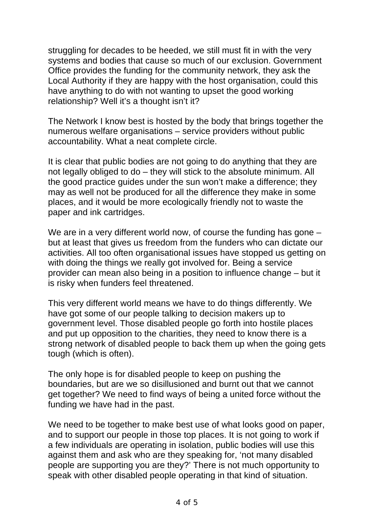struggling for decades to be heeded, we still must fit in with the very systems and bodies that cause so much of our exclusion. Government Office provides the funding for the community network, they ask the Local Authority if they are happy with the host organisation, could this have anything to do with not wanting to upset the good working relationship? Well it's a thought isn't it?

The Network I know best is hosted by the body that brings together the numerous welfare organisations – service providers without public accountability. What a neat complete circle.

It is clear that public bodies are not going to do anything that they are not legally obliged to do – they will stick to the absolute minimum. All the good practice guides under the sun won't make a difference; they may as well not be produced for all the difference they make in some places, and it would be more ecologically friendly not to waste the paper and ink cartridges.

We are in a very different world now, of course the funding has gone – but at least that gives us freedom from the funders who can dictate our activities. All too often organisational issues have stopped us getting on with doing the things we really got involved for. Being a service provider can mean also being in a position to influence change – but it is risky when funders feel threatened.

This very different world means we have to do things differently. We have got some of our people talking to decision makers up to government level. Those disabled people go forth into hostile places and put up opposition to the charities, they need to know there is a strong network of disabled people to back them up when the going gets tough (which is often).

The only hope is for disabled people to keep on pushing the boundaries, but are we so disillusioned and burnt out that we cannot get together? We need to find ways of being a united force without the funding we have had in the past.

We need to be together to make best use of what looks good on paper, and to support our people in those top places. It is not going to work if a few individuals are operating in isolation, public bodies will use this against them and ask who are they speaking for, 'not many disabled people are supporting you are they?' There is not much opportunity to speak with other disabled people operating in that kind of situation.